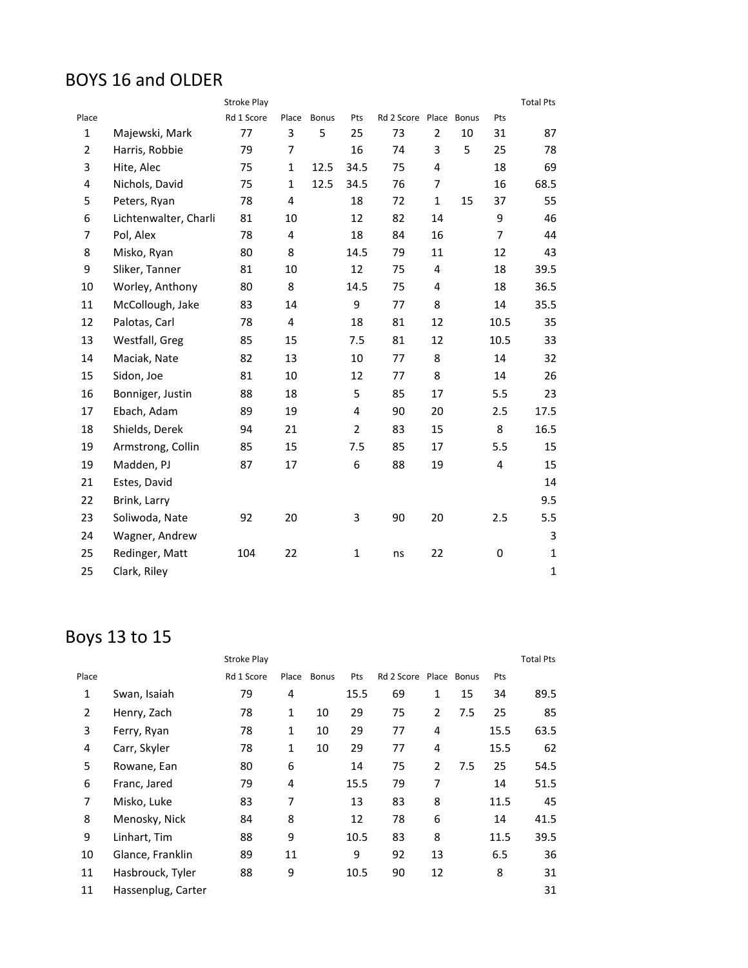## BOYS 16 and OLDER

|                |                       | Stroke Play |              |              |                |                        |                |    |                | <b>Total Pts</b> |
|----------------|-----------------------|-------------|--------------|--------------|----------------|------------------------|----------------|----|----------------|------------------|
| Place          |                       | Rd 1 Score  | Place        | <b>Bonus</b> | Pts            | Rd 2 Score Place Bonus |                |    | Pts            |                  |
| $\mathbf{1}$   | Majewski, Mark        | 77          | 3            | 5            | 25             | 73                     | 2              | 10 | 31             | 87               |
| $\overline{2}$ | Harris, Robbie        | 79          | 7            |              | 16             | 74                     | 3              | 5  | 25             | 78               |
| 3              | Hite, Alec            | 75          | $\mathbf{1}$ | 12.5         | 34.5           | 75                     | 4              |    | 18             | 69               |
| 4              | Nichols, David        | 75          | 1            | 12.5         | 34.5           | 76                     | $\overline{7}$ |    | 16             | 68.5             |
| 5              | Peters, Ryan          | 78          | 4            |              | 18             | 72                     | $\mathbf{1}$   | 15 | 37             | 55               |
| 6              | Lichtenwalter, Charli | 81          | 10           |              | 12             | 82                     | 14             |    | 9              | 46               |
| $\overline{7}$ | Pol, Alex             | 78          | 4            |              | 18             | 84                     | 16             |    | $\overline{7}$ | 44               |
| 8              | Misko, Ryan           | 80          | 8            |              | 14.5           | 79                     | 11             |    | 12             | 43               |
| 9              | Sliker, Tanner        | 81          | 10           |              | 12             | 75                     | 4              |    | 18             | 39.5             |
| 10             | Worley, Anthony       | 80          | 8            |              | 14.5           | 75                     | 4              |    | 18             | 36.5             |
| 11             | McCollough, Jake      | 83          | 14           |              | 9              | 77                     | 8              |    | 14             | 35.5             |
| 12             | Palotas, Carl         | 78          | 4            |              | 18             | 81                     | 12             |    | 10.5           | 35               |
| 13             | Westfall, Greg        | 85          | 15           |              | 7.5            | 81                     | 12             |    | 10.5           | 33               |
| 14             | Maciak, Nate          | 82          | 13           |              | 10             | 77                     | 8              |    | 14             | 32               |
| 15             | Sidon, Joe            | 81          | 10           |              | 12             | 77                     | 8              |    | 14             | 26               |
| 16             | Bonniger, Justin      | 88          | 18           |              | 5              | 85                     | 17             |    | 5.5            | 23               |
| 17             | Ebach, Adam           | 89          | 19           |              | 4              | 90                     | 20             |    | 2.5            | 17.5             |
| 18             | Shields, Derek        | 94          | 21           |              | $\overline{2}$ | 83                     | 15             |    | 8              | 16.5             |
| 19             | Armstrong, Collin     | 85          | 15           |              | 7.5            | 85                     | 17             |    | 5.5            | 15               |
| 19             | Madden, PJ            | 87          | 17           |              | 6              | 88                     | 19             |    | 4              | 15               |
| 21             | Estes, David          |             |              |              |                |                        |                |    |                | 14               |
| 22             | Brink, Larry          |             |              |              |                |                        |                |    |                | 9.5              |
| 23             | Soliwoda, Nate        | 92          | 20           |              | 3              | 90                     | 20             |    | 2.5            | 5.5              |
| 24             | Wagner, Andrew        |             |              |              |                |                        |                |    |                | 3                |
| 25             | Redinger, Matt        | 104         | 22           |              | $\mathbf{1}$   | ns                     | 22             |    | 0              | $\mathbf{1}$     |
| 25             | Clark, Riley          |             |              |              |                |                        |                |    |                | $\mathbf{1}$     |

# Boys 13 to 15

|       |                    | Stroke Play |              |              |      |            |       |       |      | <b>Total Pts</b> |
|-------|--------------------|-------------|--------------|--------------|------|------------|-------|-------|------|------------------|
| Place |                    | Rd 1 Score  | Place        | <b>Bonus</b> | Pts  | Rd 2 Score | Place | Bonus | Pts  |                  |
| 1     | Swan, Isaiah       | 79          | 4            |              | 15.5 | 69         | 1     | 15    | 34   | 89.5             |
| 2     | Henry, Zach        | 78          | $\mathbf{1}$ | 10           | 29   | 75         | 2     | 7.5   | 25   | 85               |
| 3     | Ferry, Ryan        | 78          | 1            | 10           | 29   | 77         | 4     |       | 15.5 | 63.5             |
| 4     | Carr, Skyler       | 78          | $\mathbf{1}$ | 10           | 29   | 77         | 4     |       | 15.5 | 62               |
| 5     | Rowane, Ean        | 80          | 6            |              | 14   | 75         | 2     | 7.5   | 25   | 54.5             |
| 6     | Franc, Jared       | 79          | 4            |              | 15.5 | 79         | 7     |       | 14   | 51.5             |
| 7     | Misko, Luke        | 83          | 7            |              | 13   | 83         | 8     |       | 11.5 | 45               |
| 8     | Menosky, Nick      | 84          | 8            |              | 12   | 78         | 6     |       | 14   | 41.5             |
| 9     | Linhart, Tim       | 88          | 9            |              | 10.5 | 83         | 8     |       | 11.5 | 39.5             |
| 10    | Glance, Franklin   | 89          | 11           |              | 9    | 92         | 13    |       | 6.5  | 36               |
| 11    | Hasbrouck, Tyler   | 88          | 9            |              | 10.5 | 90         | 12    |       | 8    | 31               |
| 11    | Hassenplug, Carter |             |              |              |      |            |       |       |      | 31               |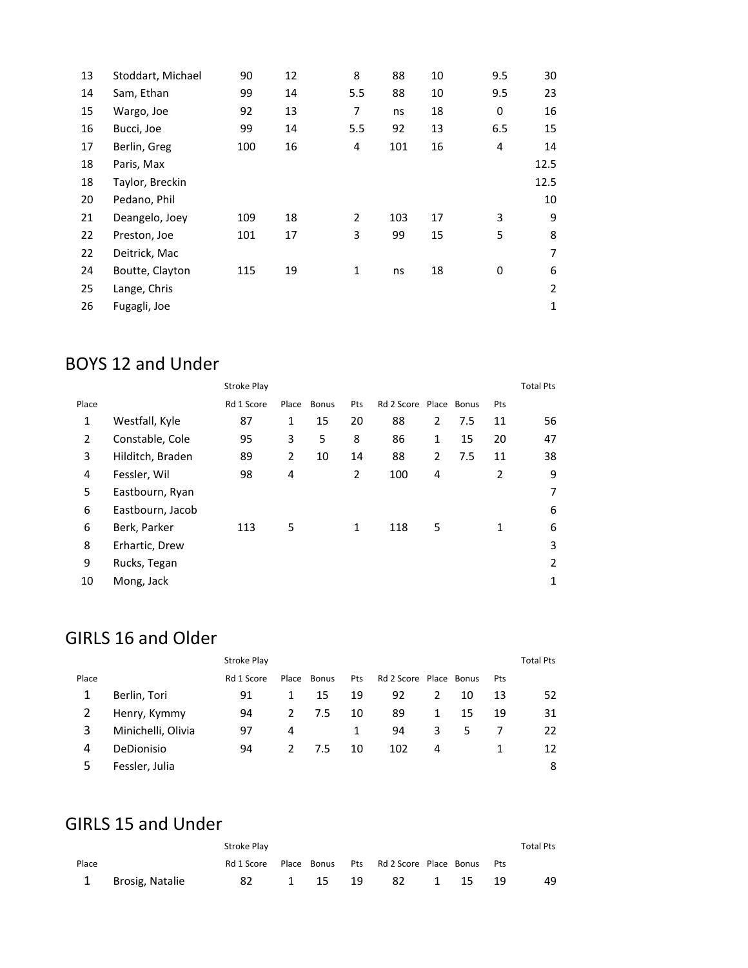| 13 | Stoddart, Michael | 90  | 12 | 8   | 88  | 10 | 9.5            | 30           |
|----|-------------------|-----|----|-----|-----|----|----------------|--------------|
| 14 | Sam, Ethan        | 99  | 14 | 5.5 | 88  | 10 | 9.5            | 23           |
| 15 | Wargo, Joe        | 92  | 13 | 7   | ns  | 18 | 0              | 16           |
| 16 | Bucci, Joe        | 99  | 14 | 5.5 | 92  | 13 | 6.5            | 15           |
| 17 | Berlin, Greg      | 100 | 16 | 4   | 101 | 16 | $\overline{4}$ | 14           |
| 18 | Paris, Max        |     |    |     |     |    |                | 12.5         |
| 18 | Taylor, Breckin   |     |    |     |     |    |                | 12.5         |
| 20 | Pedano, Phil      |     |    |     |     |    |                | 10           |
| 21 | Deangelo, Joey    | 109 | 18 | 2   | 103 | 17 | 3              | 9            |
| 22 | Preston, Joe      | 101 | 17 | 3   | 99  | 15 | 5              | 8            |
| 22 | Deitrick, Mac     |     |    |     |     |    |                | 7            |
| 24 | Boutte, Clayton   | 115 | 19 | 1   | ns  | 18 | 0              | 6            |
| 25 | Lange, Chris      |     |    |     |     |    |                | 2            |
| 26 | Fugagli, Joe      |     |    |     |     |    |                | $\mathbf{1}$ |
|    |                   |     |    |     |     |    |                |              |

#### BOYS 12 and Under

|       |                  | Stroke Play |       |              |     |            |   |             |     | <b>Total Pts</b> |
|-------|------------------|-------------|-------|--------------|-----|------------|---|-------------|-----|------------------|
| Place |                  | Rd 1 Score  | Place | <b>Bonus</b> | Pts | Rd 2 Score |   | Place Bonus | Pts |                  |
| 1     | Westfall, Kyle   | 87          | 1     | 15           | 20  | 88         | 2 | 7.5         | 11  | 56               |
| 2     | Constable, Cole  | 95          | 3     | 5            | 8   | 86         | 1 | 15          | 20  | 47               |
| 3     | Hilditch, Braden | 89          | 2     | 10           | 14  | 88         | 2 | 7.5         | 11  | 38               |
| 4     | Fessler, Wil     | 98          | 4     |              | 2   | 100        | 4 |             | 2   | 9                |
| 5     | Eastbourn, Ryan  |             |       |              |     |            |   |             |     | 7                |
| 6     | Eastbourn, Jacob |             |       |              |     |            |   |             |     | 6                |
| 6     | Berk, Parker     | 113         | 5     |              | 1   | 118        | 5 |             | 1   | 6                |
| 8     | Erhartic, Drew   |             |       |              |     |            |   |             |     | 3                |
| 9     | Rucks, Tegan     |             |       |              |     |            |   |             |     | 2                |
| 10    | Mong, Jack       |             |       |              |     |            |   |             |     | 1                |

## GIRLS 16 and Older

|       |                    | Stroke Play |       |       |            |                        |   |    |     | <b>Total Pts</b> |
|-------|--------------------|-------------|-------|-------|------------|------------------------|---|----|-----|------------------|
| Place |                    | Rd 1 Score  | Place | Bonus | <b>Pts</b> | Rd 2 Score Place Bonus |   |    | Pts |                  |
|       | Berlin, Tori       | 91          |       | 15    | 19         | 92                     | 2 | 10 | 13  | 52               |
|       | Henry, Kymmy       | 94          | 2     | 7.5   | 10         | 89                     | 1 | 15 | 19  | 31               |
|       | Minichelli, Olivia | 97          | 4     |       | 1          | 94                     | 3 | 5  |     | 22               |
| 4     | DeDionisio         | 94          | 2     | 7.5   | 10         | 102                    | 4 |    |     | 12               |
| 5     | Fessler, Julia     |             |       |       |            |                        |   |    |     | 8                |

#### GIRLS 15 and Under

|       |                   | Stroke Play                                           |  |                       |  | <b>Total Pts</b> |
|-------|-------------------|-------------------------------------------------------|--|-----------------------|--|------------------|
| Place |                   | Rd 1 Score Place Bonus Pts Rd 2 Score Place Bonus Pts |  |                       |  |                  |
|       | 1 Brosig, Natalie |                                                       |  | 82 1 15 19 82 1 15 19 |  | 49               |